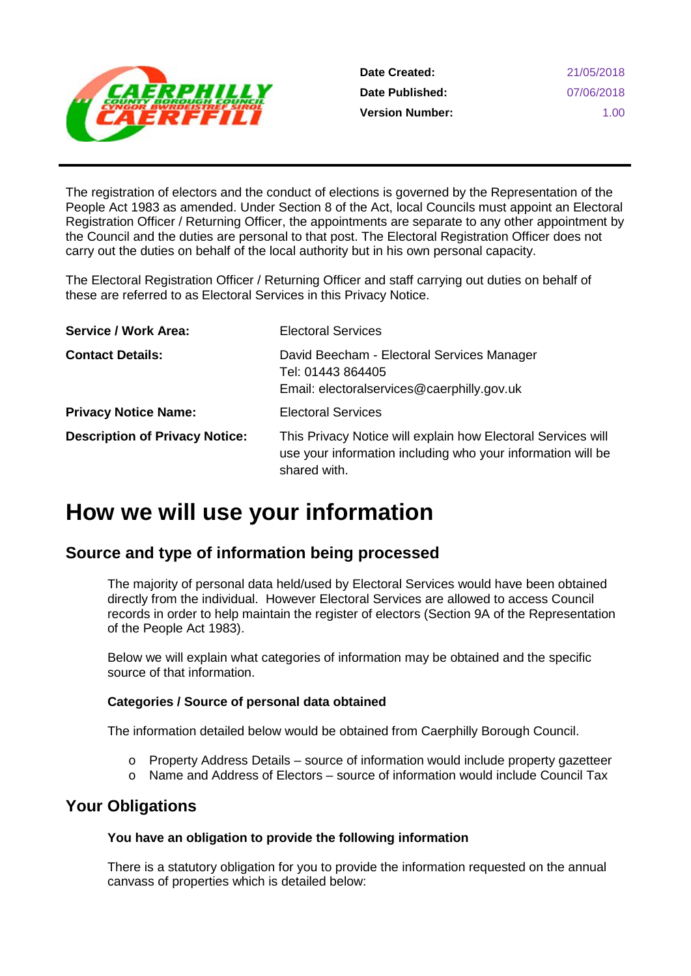

The registration of electors and the conduct of elections is governed by the Representation of the People Act 1983 as amended. Under Section 8 of the Act, local Councils must appoint an Electoral Registration Officer / Returning Officer, the appointments are separate to any other appointment by the Council and the duties are personal to that post. The Electoral Registration Officer does not carry out the duties on behalf of the local authority but in his own personal capacity.

The Electoral Registration Officer / Returning Officer and staff carrying out duties on behalf of these are referred to as Electoral Services in this Privacy Notice.

| <b>Service / Work Area:</b>           | <b>Electoral Services</b>                                                                                                                   |
|---------------------------------------|---------------------------------------------------------------------------------------------------------------------------------------------|
| <b>Contact Details:</b>               | David Beecham - Electoral Services Manager<br>Tel: 01443 864405<br>Email: electoralservices@caerphilly.gov.uk                               |
| <b>Privacy Notice Name:</b>           | <b>Electoral Services</b>                                                                                                                   |
| <b>Description of Privacy Notice:</b> | This Privacy Notice will explain how Electoral Services will<br>use your information including who your information will be<br>shared with. |

# **How we will use your information**

# **Source and type of information being processed**

The majority of personal data held/used by Electoral Services would have been obtained directly from the individual. However Electoral Services are allowed to access Council records in order to help maintain the register of electors (Section 9A of the Representation of the People Act 1983).

Below we will explain what categories of information may be obtained and the specific source of that information.

### **Categories / Source of personal data obtained**

The information detailed below would be obtained from Caerphilly Borough Council.

- $\circ$  Property Address Details source of information would include property gazetteer
- o Name and Address of Electors source of information would include Council Tax

## **Your Obligations**

#### **You have an obligation to provide the following information**

There is a statutory obligation for you to provide the information requested on the annual canvass of properties which is detailed below: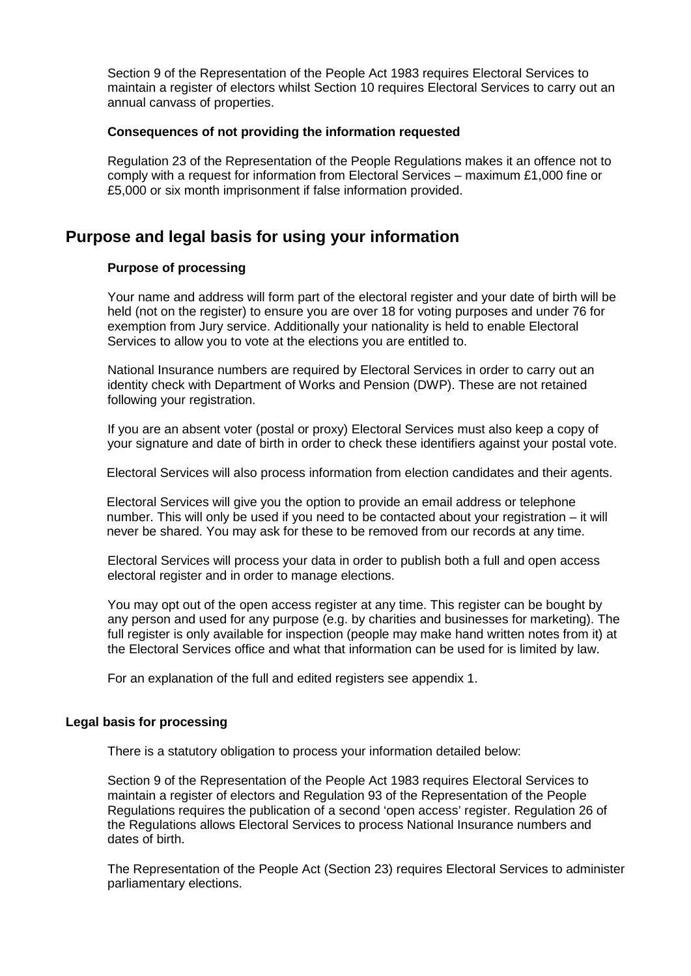Section 9 of the Representation of the People Act 1983 requires Electoral Services to maintain a register of electors whilst Section 10 requires Electoral Services to carry out an annual canvass of properties.

#### **Consequences of not providing the information requested**

Regulation 23 of the Representation of the People Regulations makes it an offence not to comply with a request for information from Electoral Services – maximum £1,000 fine or £5,000 or six month imprisonment if false information provided.

### **Purpose and legal basis for using your information**

#### **Purpose of processing**

Your name and address will form part of the electoral register and your date of birth will be held (not on the register) to ensure you are over 18 for voting purposes and under 76 for exemption from Jury service. Additionally your nationality is held to enable Electoral Services to allow you to vote at the elections you are entitled to.

National Insurance numbers are required by Electoral Services in order to carry out an identity check with Department of Works and Pension (DWP). These are not retained following your registration.

If you are an absent voter (postal or proxy) Electoral Services must also keep a copy of your signature and date of birth in order to check these identifiers against your postal vote.

Electoral Services will also process information from election candidates and their agents.

Electoral Services will give you the option to provide an email address or telephone number. This will only be used if you need to be contacted about your registration – it will never be shared. You may ask for these to be removed from our records at any time.

Electoral Services will process your data in order to publish both a full and open access electoral register and in order to manage elections.

You may opt out of the open access register at any time. This register can be bought by any person and used for any purpose (e.g. by charities and businesses for marketing). The full register is only available for inspection (people may make hand written notes from it) at the Electoral Services office and what that information can be used for is limited by law.

For an explanation of the full and edited registers see appendix 1.

#### **Legal basis for processing**

There is a statutory obligation to process your information detailed below:

Section 9 of the Representation of the People Act 1983 requires Electoral Services to maintain a register of electors and Regulation 93 of the Representation of the People Regulations requires the publication of a second 'open access' register. Regulation 26 of the Regulations allows Electoral Services to process National Insurance numbers and dates of birth.

The Representation of the People Act (Section 23) requires Electoral Services to administer parliamentary elections.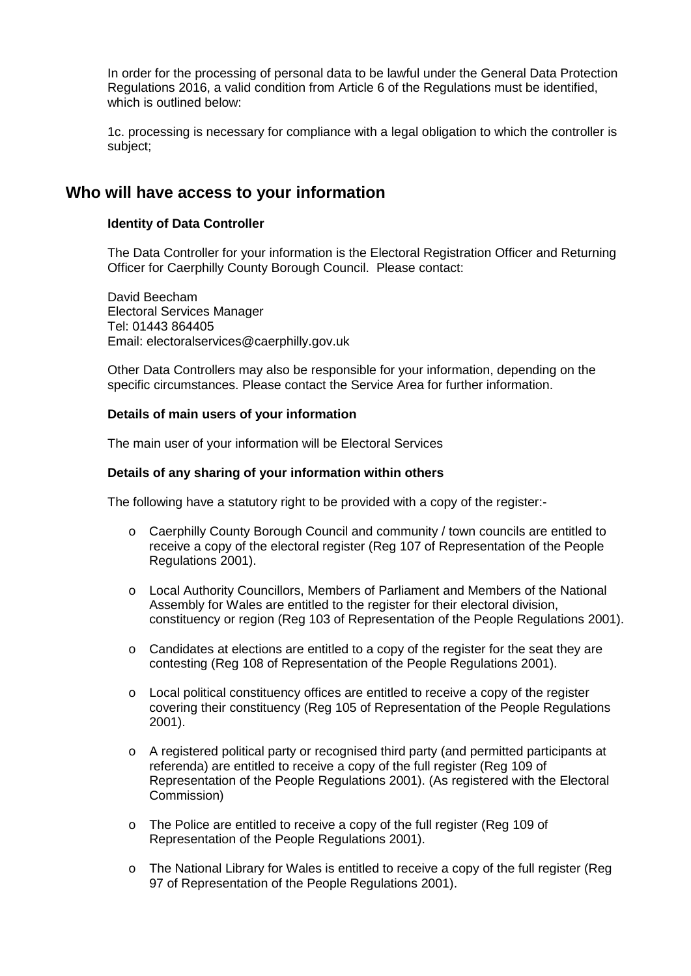In order for the processing of personal data to be lawful under the General Data Protection Regulations 2016, a valid condition from Article 6 of the Regulations must be identified, which is outlined below:

1c. processing is necessary for compliance with a legal obligation to which the controller is subject;

### **Who will have access to your information**

#### **Identity of Data Controller**

The Data Controller for your information is the Electoral Registration Officer and Returning Officer for Caerphilly County Borough Council. Please contact:

David Beecham Electoral Services Manager Tel: 01443 864405 Email: electoralservices@caerphilly.gov.uk

Other Data Controllers may also be responsible for your information, depending on the specific circumstances. Please contact the Service Area for further information.

#### **Details of main users of your information**

The main user of your information will be Electoral Services

#### **Details of any sharing of your information within others**

The following have a statutory right to be provided with a copy of the register:-

- o Caerphilly County Borough Council and community / town councils are entitled to receive a copy of the electoral register (Reg 107 of Representation of the People Regulations 2001).
- o Local Authority Councillors, Members of Parliament and Members of the National Assembly for Wales are entitled to the register for their electoral division, constituency or region (Reg 103 of Representation of the People Regulations 2001).
- o Candidates at elections are entitled to a copy of the register for the seat they are contesting (Reg 108 of Representation of the People Regulations 2001).
- $\circ$  Local political constituency offices are entitled to receive a copy of the register covering their constituency (Reg 105 of Representation of the People Regulations 2001).
- o A registered political party or recognised third party (and permitted participants at referenda) are entitled to receive a copy of the full register (Reg 109 of Representation of the People Regulations 2001). (As registered with the Electoral Commission)
- o The Police are entitled to receive a copy of the full register (Reg 109 of Representation of the People Regulations 2001).
- $\circ$  The National Library for Wales is entitled to receive a copy of the full register (Reg 97 of Representation of the People Regulations 2001).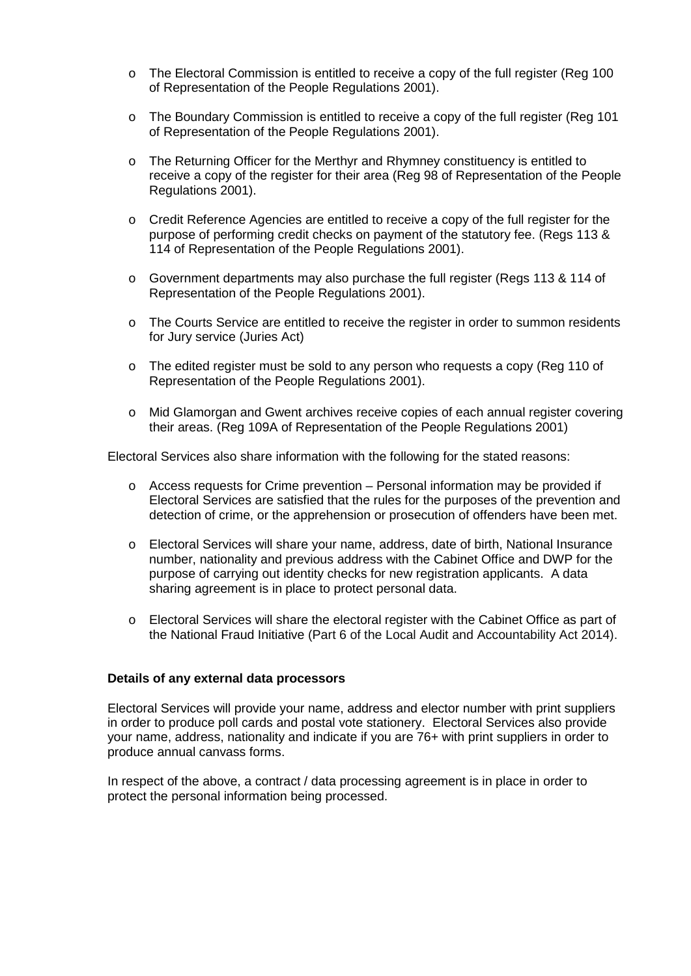- o The Electoral Commission is entitled to receive a copy of the full register (Reg 100 of Representation of the People Regulations 2001).
- o The Boundary Commission is entitled to receive a copy of the full register (Reg 101 of Representation of the People Regulations 2001).
- o The Returning Officer for the Merthyr and Rhymney constituency is entitled to receive a copy of the register for their area (Reg 98 of Representation of the People Regulations 2001).
- o Credit Reference Agencies are entitled to receive a copy of the full register for the purpose of performing credit checks on payment of the statutory fee. (Regs 113 & 114 of Representation of the People Regulations 2001).
- o Government departments may also purchase the full register (Regs 113 & 114 of Representation of the People Regulations 2001).
- o The Courts Service are entitled to receive the register in order to summon residents for Jury service (Juries Act)
- $\circ$  The edited register must be sold to any person who requests a copy (Reg 110 of Representation of the People Regulations 2001).
- o Mid Glamorgan and Gwent archives receive copies of each annual register covering their areas. (Reg 109A of Representation of the People Regulations 2001)

Electoral Services also share information with the following for the stated reasons:

- $\circ$  Access requests for Crime prevention Personal information may be provided if Electoral Services are satisfied that the rules for the purposes of the prevention and detection of crime, or the apprehension or prosecution of offenders have been met.
- o Electoral Services will share your name, address, date of birth, National Insurance number, nationality and previous address with the Cabinet Office and DWP for the purpose of carrying out identity checks for new registration applicants. A data sharing agreement is in place to protect personal data.
- o Electoral Services will share the electoral register with the Cabinet Office as part of the National Fraud Initiative (Part 6 of the Local Audit and Accountability Act 2014).

#### **Details of any external data processors**

Electoral Services will provide your name, address and elector number with print suppliers in order to produce poll cards and postal vote stationery. Electoral Services also provide your name, address, nationality and indicate if you are 76+ with print suppliers in order to produce annual canvass forms.

In respect of the above, a contract / data processing agreement is in place in order to protect the personal information being processed.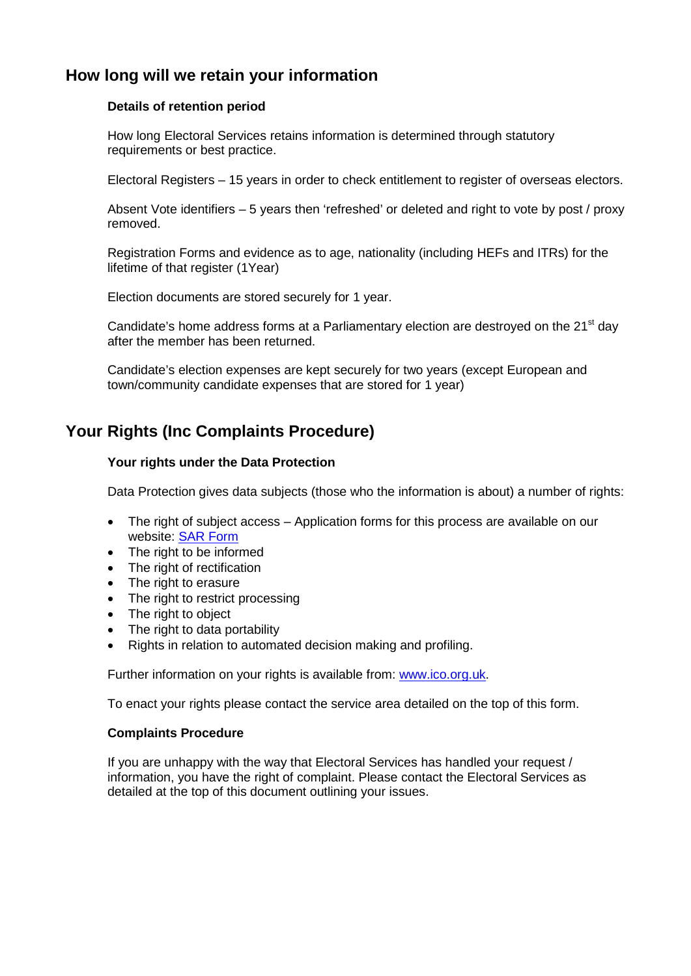# **How long will we retain your information**

#### **Details of retention period**

How long Electoral Services retains information is determined through statutory requirements or best practice.

Electoral Registers – 15 years in order to check entitlement to register of overseas electors.

Absent Vote identifiers – 5 years then 'refreshed' or deleted and right to vote by post / proxy removed.

Registration Forms and evidence as to age, nationality (including HEFs and ITRs) for the lifetime of that register (1Year)

Election documents are stored securely for 1 year.

Candidate's home address forms at a Parliamentary election are destroyed on the 21<sup>st</sup> day after the member has been returned.

Candidate's election expenses are kept securely for two years (except European and town/community candidate expenses that are stored for 1 year)

# **Your Rights (Inc Complaints Procedure)**

#### **Your rights under the Data Protection**

Data Protection gives data subjects (those who the information is about) a number of rights:

- The right of subject access Application forms for this process are available on our website: [SAR Form](http://www.caerphilly.gov.uk/CaerphillyDocs/Council-and-democracy/sar_form.aspx)
- The right to be informed
- The right of rectification
- The right to erasure
- The right to restrict processing
- The right to object
- The right to data portability
- Rights in relation to automated decision making and profiling.

Further information on your rights is available from: [www.ico.org.uk.](http://www.ico.org.uk/)

To enact your rights please contact the service area detailed on the top of this form.

#### **Complaints Procedure**

If you are unhappy with the way that Electoral Services has handled your request / information, you have the right of complaint. Please contact the Electoral Services as detailed at the top of this document outlining your issues.